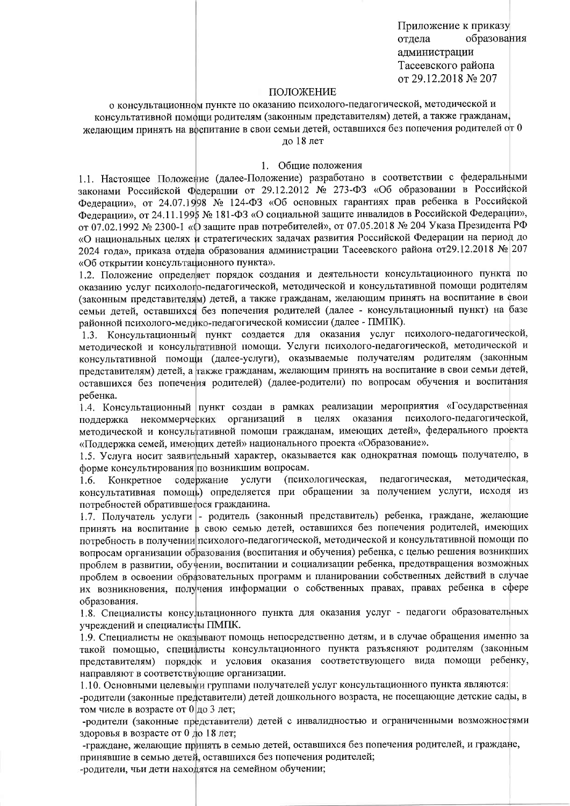Приложение к приказу отлела образования администрации Тасеевского района от 29.12.2018 № 207

#### ПОЛОЖЕНИЕ

о консультационном пункте по оказанию психолого-педагогической, методической и консультативной помощи родителям (законным представителям) детей, а также гражданам, желающим принять на воспитание в свои семьи детей, оставшихся без попечения родителей от 0

ло 18 лет

#### 1. Общие положения

1.1. Настоящее Положение (далее-Положение) разработано в соответствии с федеральными законами Российской Федерации от 29.12.2012 № 273-ФЗ «Об образовании в Российской Федерации», от 24.07.1998 № 124-ФЗ «Об основных гарантиях прав ребенка в Российской Федерации», от 24.11.1995 № 181-ФЗ «О социальной защите инвалидов в Российской Федерации», от 07.02.1992 № 2300-1 «О защите прав потребителей», от 07.05.2018 № 204 Указа Президента РФ «О национальных целях и стратегических задачах развития Российской Федерации на период до 2024 года», приказа отдела образования администрации Тасеевского района от29.12.2018 № 207 «Об открытии консультационного пункта».

1.2. Положение определяет порядок создания и деятельности консультационного пункта по оказанию услуг психолого-педагогической, методической и консультативной помощи родителям (законным представителям) детей, а также гражданам, желающим принять на воспитание в свои семьи детей, оставшихся без попечения родителей (далее - консультационный пункт) на базе районной психолого-медико-педагогической комиссии (далее - ПМПК).

1.3. Консультационный пункт создается для оказания услуг психолого-педагогической, методической и консультативной помощи. Услуги психолого-педагогической, методической и консультативной помощи (далее-услуги), оказываемые получателям родителям (законным представителям) детей, а также гражданам, желающим принять на воспитание в свои семьи детей, оставшихся без попечения родителей) (далее-родители) по вопросам обучения и воспитания ребенка.

1.4. Консультационный пункт создан в рамках реализации мероприятия «Государственная поддержка некоммерческих организаций в целях оказания психолого-педагогической, методической и консультативной помощи гражданам, имеющих детей», федерального проекта «Поддержка семей, имеющих детей» национального проекта «Образование».

1.5. Услуга носит заявительный характер, оказывается как однократная помощь получателю, в форме консультирования по возникшим вопросам.

(психологическая, метолическая. педагогическая, Конкретное содержание услуги 1.6. консультативная помощь) определяется при обращении за получением услуги, исходя из потребностей обратившегося гражданина.

1.7. Получатель услуги - родитель (законный представитель) ребенка, граждане, желающие принять на воспитание в свою семью детей, оставшихся без попечения родителей, имеющих потребность в получении психолого-педагогической, методической и консультативной помощи по вопросам организации образования (воспитания и обучения) ребенка, с целью решения возникших проблем в развитии, обучении, воспитании и социализации ребенка, предотвращения возможных проблем в освоении образовательных программ и планировании собственных действий в случае их возникновения, получения информации о собственных правах, правах ребенка в сфере образования.

1.8. Специалисты консультационного пункта для оказания услуг - педагоги образовательных учреждений и специалисты ПМПК.

1.9. Специалисты не оказывают помощь непосредственно детям, и в случае обращения именно за такой помощью, специалисты консультационного пункта разъясняют родителям (законным представителям) порядок и условия оказания соответствующего вида помощи ребенку, направляют в соответствующие организации.

1.10. Основными целевыми группами получателей услуг консультационного пункта являются:

-родители (законные представители) детей дошкольного возраста, не посещающие детские сады, в том числе в возрасте от  $0$  до 3 лет;

-родители (законные представители) детей с инвалидностью и ограниченными возможностями здоровья в возрасте от 0 до 18 лет;

-граждане, желающие принять в семью детей, оставшихся без попечения родителей, и граждане, принявшие в семью детей, оставшихся без попечения родителей;

-родители, чьи дети находятся на семейном обучении;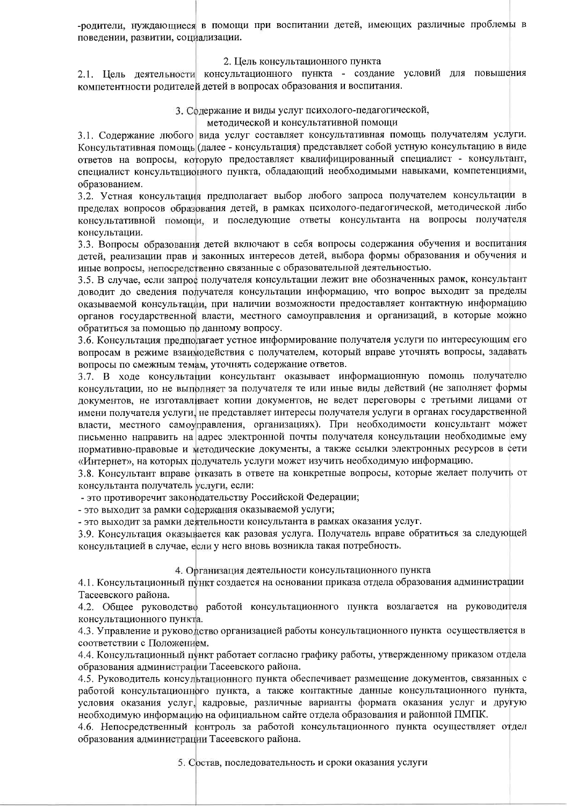-родители, нуждающиеся в помощи при воспитании детей, имеющих различные проблемы в поведении, развитии, социализации.

### 2. Цель консультационного пункта

2.1. Цель деятельности консультационного пункта - создание условий для повышения компетентности родителей детей в вопросах образования и воспитания.

## 3. Содержание и виды услуг психолого-педагогической,

методической и консультативной помощи

3.1. Содержание любого вида услуг составляет консультативная помощь получателям услуги. Консультативная помощь (далее - консультация) представляет собой устную консультацию в виде ответов на вопросы, которую предоставляет квалифицированный специалист - консультант, специалист консультационного пункта, обладающий необходимыми навыками, компетенциями, образованием.

3.2. Устная консультация предполагает выбор любого запроса получателем консультации в пределах вопросов образования детей, в рамках психолого-педагогической, методической либо консультативной помощи, и последующие ответы консультанта на вопросы получателя консультации.

3.3. Вопросы образования детей включают в себя вопросы содержания обучения и воспитания детей, реализации прав и законных интересов детей, выбора формы образования и обучения и иные вопросы, непосредственно связанные с образовательной деятельностью.

3.5. В случае, если запрос получателя консультации лежит вне обозначенных рамок, консультант доводит до сведения получателя консультации информацию, что вопрос выходит за пределы оказываемой консультации, при наличии возможности предоставляет контактную информацию органов государственной власти, местного самоуправления и организаций, в которые можно обратиться за помощью по данному вопросу.

3.6. Консультация предполагает устное информирование получателя услуги по интересующим его вопросам в режиме взаимодействия с получателем, который вправе уточнять вопросы, задавать вопросы по смежным темам, уточнять содержание ответов.

3.7. В ходе консультации консультант оказывает информационную помощь получателю консультации, но не выполняет за получателя те или иные виды действий (не заполняет формы документов, не изготавливает копии документов, не ведет переговоры с третьими лицами от имени получателя услуги, не представляет интересы получателя услуги в органах государственной власти, местного самоуправления, организациях). При необходимости консультант может письменно направить на адрес электронной почты получателя консультации необходимые ему нормативно-правовые и методические документы, а также ссылки электронных ресурсов в сети «Интернет», на которых получатель услуги может изучить необходимую информацию.

3.8. Консультант вправе отказать в ответе на конкретные вопросы, которые желает получить от консультанта получатель услуги, если:

- это противоречит законодательству Российской Федерации;

- это выходит за рамки содержания оказываемой услуги;

- это выходит за рамки деятельности консультанта в рамках оказания услуг.

3.9. Консультация оказывается как разовая услуга. Получатель вправе обратиться за следующей консультацией в случае, если у него вновь возникла такая потребность.

## 4. Организация деятельности консультационного пункта

4.1. Консультационный пункт создается на основании приказа отдела образования администрации Тасеевского района.

4.2. Общее руководство работой консультационного пункта возлагается на руководителя консультационного пункта.

4.3. Управление и руководство организацией работы консультационного пункта осуществляется в соответствии с Положением.

4.4. Консультационный пункт работает согласно графику работы, утвержденному приказом отдела образования администрации Тасеевского района.

4.5. Руководитель консультационного пункта обеспечивает размещение документов, связанных с работой консультационного пункта, а также контактные данные консультационного пункта, условия оказания услуг, кадровые, различные варианты формата оказания услуг и другую необходимую информацию на официальном сайте отдела образования и районной ПМПК.

4.6. Непосредственный контроль за работой консультационного пункта осуществляет отдел образования администрации Тасеевского района.

5. Состав, последовательность и сроки оказания услуги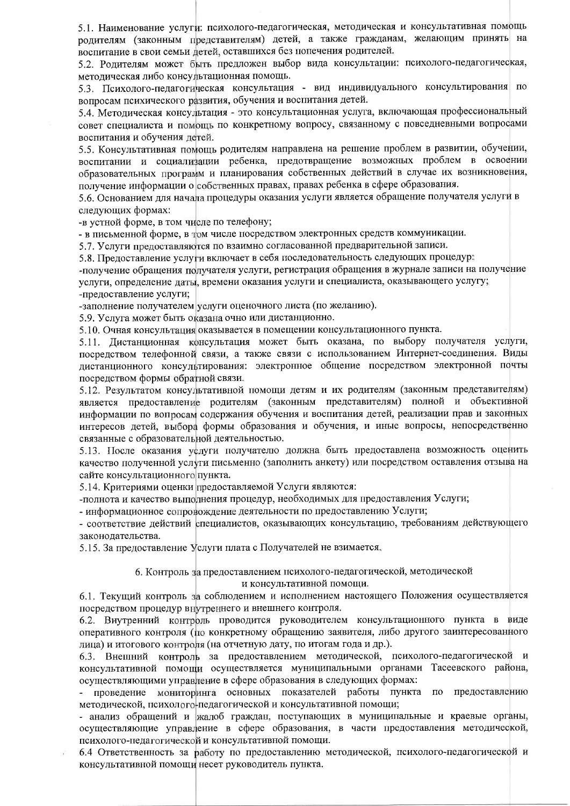5.1. Наименование услуги: психолого-педагогическая, методическая и консультативная помощь родителям (законным представителям) детей, а также гражданам, желающим принять на воспитание в свои семьи детей, оставшихся без попечения родителей.

5.2. Родителям может быть предложен выбор вида консультации: психолого-педагогическая, методическая либо консультационная помощь.

5.3. Психолого-педагогическая консультация - вид индивидуального консультирования по вопросам психического развития, обучения и воспитания детей.

5.4. Методическая консультация - это консультационная услуга, включающая профессиональный совет специалиста и помощь по конкретному вопросу, связанному с повседневными вопросами воспитания и обучения детей.

5.5. Консультативная помощь родителям направлена на решение проблем в развитии, обучении, воспитании и социализации ребенка, предотвращение возможных проблем в освоении образовательных программ и планирования собственных действий в случае их возникновения, получение информации о собственных правах, правах ребенка в сфере образования.

5.6. Основанием для начала процедуры оказания услуги является обращение получателя услуги в следующих формах:

-в устной форме, в том числе по телефону;

- в письменной форме, в том числе посредством электронных средств коммуникации.

5.7. Услуги предоставляются по взаимно согласованной предварительной записи.

5.8. Прелоставление услуги включает в себя последовательность следующих процедур:

-получение обращения получателя услуги, регистрация обращения в журнале записи на получение услуги, определение даты, времени оказания услуги и специалиста, оказывающего услугу;

-предоставление услуги;

-заполнение получателем услуги оценочного листа (по желанию).

5.9. Услуга может быть оказана очно или дистанционно.

5.10. Очная консультация оказывается в помещении консультационного пункта.

5.11. Дистанционная консультация может быть оказана, по выбору получателя услуги, посредством телефонной связи, а также связи с использованием Интернет-соединения. Виды дистанционного консультирования: электронное общение посредством электронной почты посредством формы обратной связи.

5.12. Результатом консультативной помощи детям и их родителям (законным представителям) является предоставление родителям (законным представителям) полной и объективной информации по вопросам содержания обучения и воспитания детей, реализации прав и законных интересов детей, выбора формы образования и обучения, и иные вопросы, непосредственно связанные с образовательной деятельностью.

5.13. После оказания услуги получателю должна быть предоставлена возможность оценить качество полученной услуги письменно (заполнить анкету) или посредством оставления отзыва на сайте консультационного пункта.

5.14. Критериями оценки предоставляемой Услуги являются:

-полнота и качество выполнения процедур, необходимых для предоставления Услуги;

- информационное сопровождение деятельности по предоставлению Услуги;

- соответствие действий специалистов, оказывающих консультацию, требованиям действующего законодательства.

5.15. За предоставление Услуги плата с Получателей не взимается.

### 6. Контроль за предоставлением психолого-педагогической, методической и консультативной помощи.

6.1. Текущий контроль за соблюдением и исполнением настоящего Положения осуществляется посредством процедур внутреннего и внешнего контроля.

6.2. Внутренний контроль проводится руководителем консультационного пункта в виде оперативного контроля (по конкретному обращению заявителя, либо другого заинтересованного лица) и итогового контроля (на отчетную дату, по итогам года и др.).

6.3. Внешний контроль за предоставлением методической, психолого-педагогической и консультативной помощи осуществляется муниципальными органами Тасеевского района, осуществляющими управление в сфере образования в следующих формах:

проведение мониторинга основных показателей работы пункта по предоставлению методической, психолого-педагогической и консультативной помощи;

- анализ обращений и жалоб граждан, поступающих в муниципальные и краевые органы, осуществляющие управление в сфере образования, в части предоставления методической, психолого-педагогической и консультативной помощи.

6.4 Ответственность за работу по предоставлению методической, психолого-педагогической и консультативной помощи несет руководитель пункта.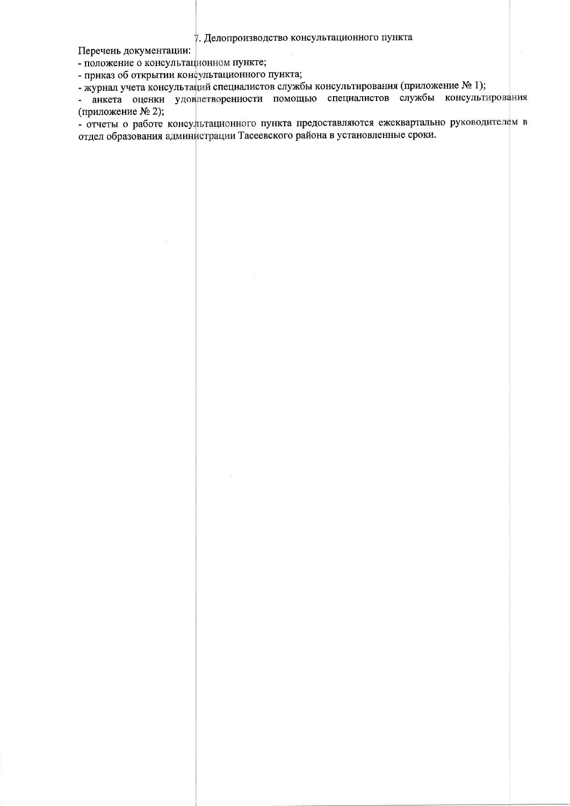7. Делопроизводство консультационного пункта

Перечень документации:

- положение о консультационном пункте;

- приказ об открытии консультационного пункта;

- журнал учета консультаций специалистов службы консультирования (приложение № 1);

- анкета оценки удовлетворенности помощью специалистов службы консультирования (приложение № 2);

- отчеты о работе консультационного пункта предоставляются ежеквартально руководителем в отдел образования администрации Тасеевского района в установленные сроки.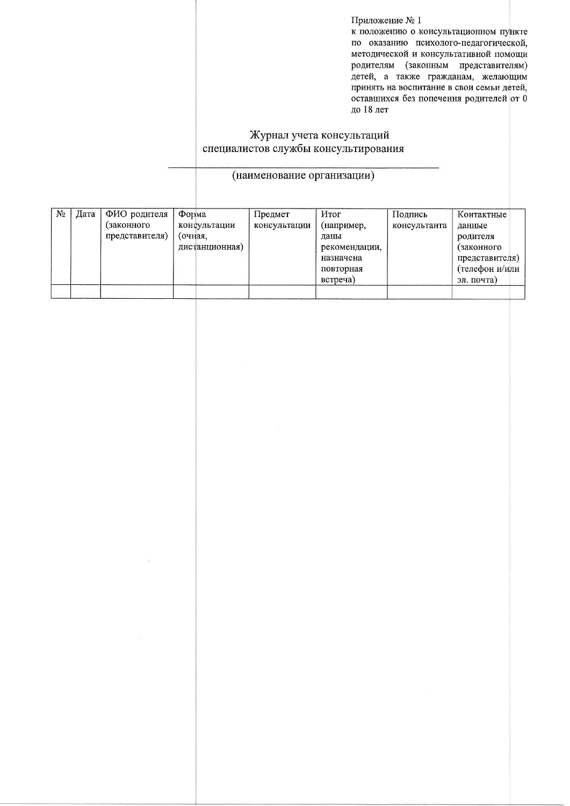Приложение № 1

к положению о консультационном пункте по оказанию психолого-педагогической, методической и консультативной помощи родителям (законным представителям) детей, а также гражданам, желающим принять на воспитание в свои семьи детей, оставшихся без попечения родителей от 0 до 18 лет

# Журнал учета консультаций специалистов службы консультирования

# (наименование организации)

| N <sub>2</sub> | Дата | ФИО родителя   | Форма          | Предмет      | Итог          | Подпись      | Контактные     |
|----------------|------|----------------|----------------|--------------|---------------|--------------|----------------|
|                |      | (законного     | консультации   | консультации | (например,    | консультанта | данные         |
|                |      | представителя) | (очная,        |              | ланы          |              | родителя       |
|                |      |                | дистанционная) |              | рекомендации, |              | (законного     |
|                |      |                |                |              | назначена     |              | представителя) |
|                |      |                |                |              | повторная     |              | (телефон и/или |
|                |      |                |                |              | встреча)      |              | эл. почта)     |
|                |      |                |                |              |               |              |                |